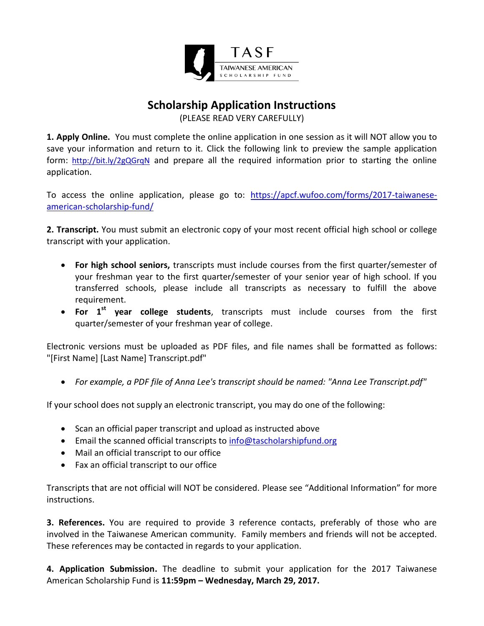

## **Scholarship Application Instructions**

(PLEASE READ VERY CAREFULLY)

**1. Apply Online.** You must complete the online application in one session as it will NOT allow you to save your information and return to it. Click the following link to preview the sample application form: <http://bit.ly/2gQGrqN> and prepare all the required information prior to starting the online application.

To access the online application, please go to: [https://apcf.wufoo.com/forms/2017-taiwanese](https://apcf.wufoo.com/forms/2017-taiwanese-american-scholarship-fund/)[american-scholarship-fund/](https://apcf.wufoo.com/forms/2017-taiwanese-american-scholarship-fund/)

**2. Transcript.** You must submit an electronic copy of your most recent official high school or college transcript with your application.

- **For high school seniors,** transcripts must include courses from the first quarter/semester of your freshman year to the first quarter/semester of your senior year of high school. If you transferred schools, please include all transcripts as necessary to fulfill the above requirement.
- **For 1st year college students**, transcripts must include courses from the first quarter/semester of your freshman year of college.

Electronic versions must be uploaded as PDF files, and file names shall be formatted as follows: "[First Name] [Last Name] Transcript.pdf"

*For example, a PDF file of Anna Lee's transcript should be named: "Anna Lee Transcript.pdf"*

If your school does not supply an electronic transcript, you may do one of the following:

- Scan an official paper transcript and upload as instructed above
- **Email the scanned official transcripts to<info@tascholarshipfund.org>**
- Mail an official transcript to our office
- Fax an official transcript to our office

Transcripts that are not official will NOT be considered. Please see "Additional Information" for more instructions.

**3. References.** You are required to provide 3 reference contacts, preferably of those who are involved in the Taiwanese American community. Family members and friends will not be accepted. These references may be contacted in regards to your application.

**4. Application Submission.** The deadline to submit your application for the 2017 Taiwanese American Scholarship Fund is **11:59pm – Wednesday, March 29, 2017.**